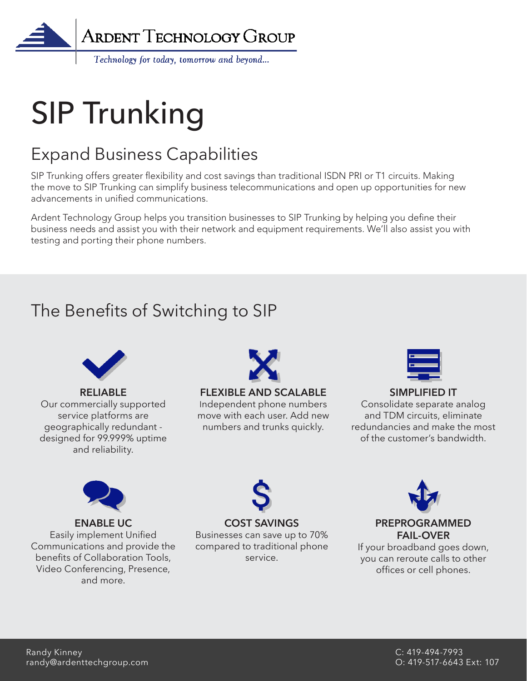

# SIP Trunking

## Expand Business Capabilities

SIP Trunking offers greater flexibility and cost savings than traditional ISDN PRI or T1 circuits. Making the move to SIP Trunking can simplify business telecommunications and open up opportunities for new advancements in unified communications.

Ardent Technology Group helps you transition businesses to SIP Trunking by helping you define their business needs and assist you with their network and equipment requirements. We'll also assist you with testing and porting their phone numbers.

## The Benefits of Switching to SIP



**RELIABLE** Our commercially supported service platforms are geographically redundant designed for 99.999% uptime and reliability.



### **FLEXIBLE AND SCALABLE**

Independent phone numbers move with each user. Add new numbers and trunks quickly.



### **SIMPLIFIED IT**

Consolidate separate analog and TDM circuits, eliminate redundancies and make the most of the customer's bandwidth.



### **ENABLE UC** Easily implement Unified Communications and provide the benefits of Collaboration Tools, Video Conferencing, Presence, and more.



### **COST SAVINGS**

Businesses can save up to 70% compared to traditional phone service.



### **PREPROGRAMMED FAIL-OVER**

If your broadband goes down, you can reroute calls to other offices or cell phones.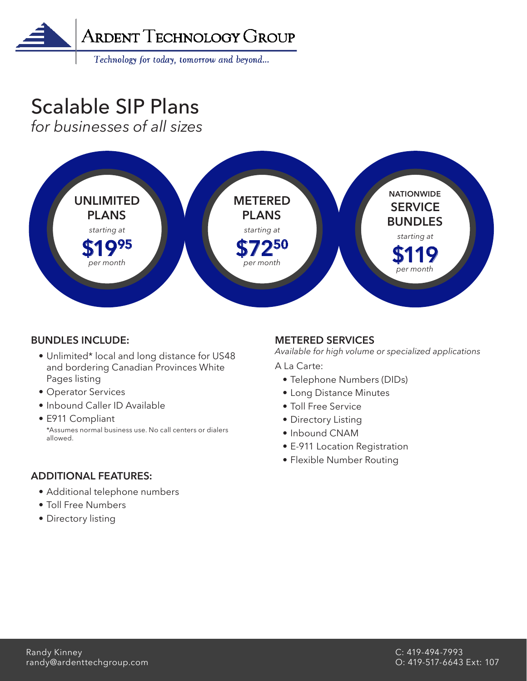

Technology for today, tomorrow and beyond...

## Scalable SIP Plans

*for businesses of all sizes*



### **BUNDLES INCLUDE:**

- Unlimited\* local and long distance for US48 and bordering Canadian Provinces White Pages listing
- Operator Services
- Inbound Caller ID Available
- E911 Compliant \*Assumes normal business use. No call centers or dialers allowed.

### **ADDITIONAL FEATURES:**

- Additional telephone numbers
- Toll Free Numbers
- Directory listing

### **METERED SERVICES**

*Available for high volume or specialized applications*

A La Carte:

- Telephone Numbers (DIDs)
- Long Distance Minutes
- Toll Free Service
- Directory Listing
- Inbound CNAM
- E-911 Location Registration
- Flexible Number Routing